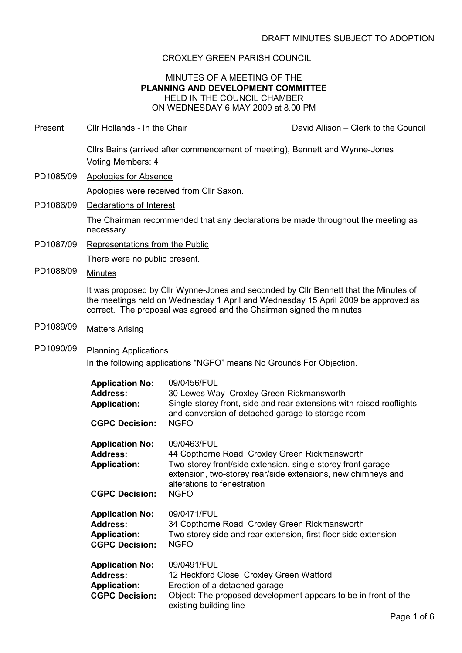# CROXLEY GREEN PARISH COUNCIL

#### MINUTES OF A MEETING OF THE PLANNING AND DEVELOPMENT COMMITTEE HELD IN THE COUNCIL CHAMBER ON WEDNESDAY 6 MAY 2009 at 8.00 PM

- Present: Cllr Hollands In the Chair David Allison Clerk to the Council Cllrs Bains (arrived after commencement of meeting), Bennett and Wynne-Jones Voting Members: 4 PD1085/09 Apologies for Absence Apologies were received from Cllr Saxon. PD1086/09 Declarations of Interest The Chairman recommended that any declarations be made throughout the meeting as necessary. PD1087/09 Representations from the Public There were no public present. PD1088/09 Minutes It was proposed by Cllr Wynne-Jones and seconded by Cllr Bennett that the Minutes of the meetings held on Wednesday 1 April and Wednesday 15 April 2009 be approved as correct. The proposal was agreed and the Chairman signed the minutes. PD1089/09 Matters Arising PD1090/09 Planning Applications In the following applications "NGFO" means No Grounds For Objection. Application No: 09/0456/FUL Address: 30 Lewes Way Croxley Green Rickmansworth Application: Single-storey front, side and rear extensions with raised rooflights and conversion of detached garage to storage room<br>NGFO CGPC Decision: Application No: 09/0463/FUL<br>Address: 44 Copthorne 44 Copthorne Road Croxley Green Rickmansworth Application: Two-storey front/side extension, single-storey front garage extension, two-storey rear/side extensions, new chimneys and
	- alterations to fenestration **CGPC Decision:** Application No: 09/0471/FUL Address: 34 Copthorne Road Croxley Green Rickmansworth Application: Two storey side and rear extension, first floor side extension CGPC Decision: NGFO Application No: 09/0491/FUL Address: 12 Heckford Close Croxley Green Watford
	- Application: Erection of a detached garage CGPC Decision: Object: The proposed development appears to be in front of the existing building line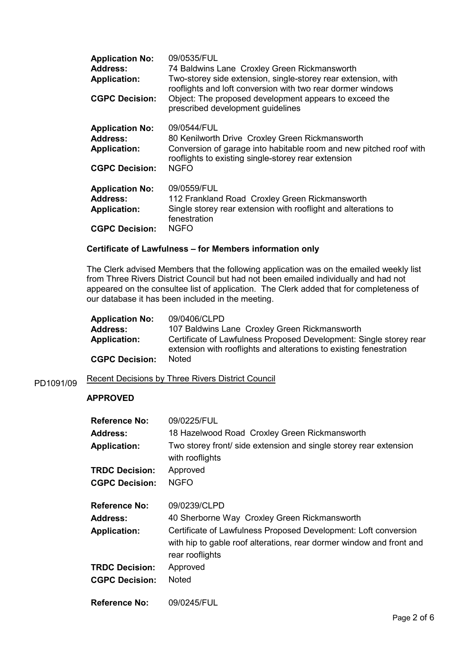| <b>Application No:</b> | 09/0535/FUL                                                                                                                  |
|------------------------|------------------------------------------------------------------------------------------------------------------------------|
| <b>Address:</b>        | 74 Baldwins Lane Croxley Green Rickmansworth                                                                                 |
| <b>Application:</b>    | Two-storey side extension, single-storey rear extension, with<br>rooflights and loft conversion with two rear dormer windows |
| <b>CGPC Decision:</b>  | Object: The proposed development appears to exceed the<br>prescribed development guidelines                                  |
| <b>Application No:</b> | 09/0544/FUL                                                                                                                  |
| <b>Address:</b>        | 80 Kenilworth Drive Croxley Green Rickmansworth                                                                              |
| <b>Application:</b>    | Conversion of garage into habitable room and new pitched roof with<br>rooflights to existing single-storey rear extension    |
| <b>CGPC Decision:</b>  | <b>NGFO</b>                                                                                                                  |
| <b>Application No:</b> | 09/0559/FUL                                                                                                                  |
| Address:               | 112 Frankland Road Croxley Green Rickmansworth                                                                               |
| <b>Application:</b>    | Single storey rear extension with rooflight and alterations to<br>fenestration                                               |
| <b>CGPC Decision:</b>  | <b>NGFO</b>                                                                                                                  |
|                        |                                                                                                                              |

### Certificate of Lawfulness – for Members information only

The Clerk advised Members that the following application was on the emailed weekly list from Three Rivers District Council but had not been emailed individually and had not appeared on the consultee list of application. The Clerk added that for completeness of our database it has been included in the meeting.

| <b>Application No:</b> | 09/0406/CLPD                                                                                                                             |
|------------------------|------------------------------------------------------------------------------------------------------------------------------------------|
| <b>Address:</b>        | 107 Baldwins Lane Croxley Green Rickmansworth                                                                                            |
| <b>Application:</b>    | Certificate of Lawfulness Proposed Development: Single storey rear<br>extension with rooflights and alterations to existing fenestration |
| <b>CGPC Decision:</b>  | <b>Noted</b>                                                                                                                             |

# PD1091/09 Recent Decisions by Three Rivers District Council

# APPROVED

| <b>Reference No:</b>  | 09/0225/FUL                                                                                                                                                |
|-----------------------|------------------------------------------------------------------------------------------------------------------------------------------------------------|
| <b>Address:</b>       | 18 Hazelwood Road Croxley Green Rickmansworth                                                                                                              |
| <b>Application:</b>   | Two storey front/ side extension and single storey rear extension<br>with rooflights                                                                       |
| <b>TRDC Decision:</b> | Approved                                                                                                                                                   |
| <b>CGPC Decision:</b> | <b>NGFO</b>                                                                                                                                                |
| <b>Reference No:</b>  | 09/0239/CLPD                                                                                                                                               |
| <b>Address:</b>       | 40 Sherborne Way Croxley Green Rickmansworth                                                                                                               |
| <b>Application:</b>   | Certificate of Lawfulness Proposed Development: Loft conversion<br>with hip to gable roof alterations, rear dormer window and front and<br>rear rooflights |
| <b>TRDC Decision:</b> | Approved                                                                                                                                                   |
| <b>CGPC Decision:</b> | <b>Noted</b>                                                                                                                                               |
| <b>Reference No:</b>  | 09/0245/FUL                                                                                                                                                |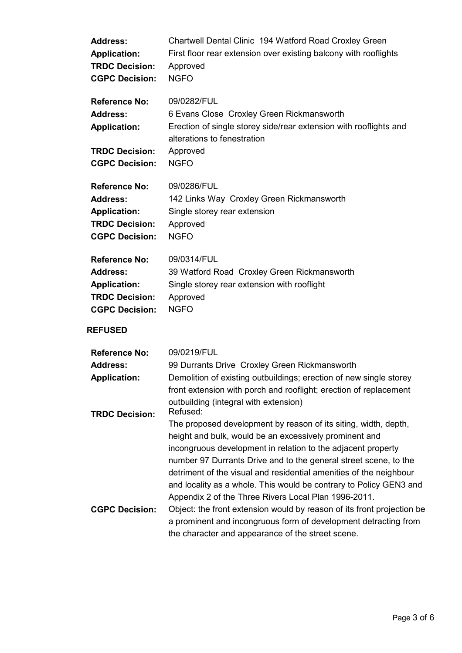| <b>Address:</b><br><b>Application:</b><br><b>TRDC Decision:</b><br><b>CGPC Decision:</b>                         | Chartwell Dental Clinic 194 Watford Road Croxley Green<br>First floor rear extension over existing balcony with rooflights<br>Approved<br><b>NGFO</b>                                                                                                                                                                                                                                                                                                             |
|------------------------------------------------------------------------------------------------------------------|-------------------------------------------------------------------------------------------------------------------------------------------------------------------------------------------------------------------------------------------------------------------------------------------------------------------------------------------------------------------------------------------------------------------------------------------------------------------|
| <b>Reference No:</b><br><b>Address:</b><br><b>Application:</b><br><b>TRDC Decision:</b><br><b>CGPC Decision:</b> | 09/0282/FUL<br>6 Evans Close Croxley Green Rickmansworth<br>Erection of single storey side/rear extension with rooflights and<br>alterations to fenestration<br>Approved<br><b>NGFO</b>                                                                                                                                                                                                                                                                           |
| <b>Reference No:</b><br><b>Address:</b><br><b>Application:</b><br><b>TRDC Decision:</b><br><b>CGPC Decision:</b> | 09/0286/FUL<br>142 Links Way Croxley Green Rickmansworth<br>Single storey rear extension<br>Approved<br><b>NGFO</b>                                                                                                                                                                                                                                                                                                                                               |
| <b>Reference No:</b><br><b>Address:</b><br><b>Application:</b><br><b>TRDC Decision:</b><br><b>CGPC Decision:</b> | 09/0314/FUL<br>39 Watford Road Croxley Green Rickmansworth<br>Single storey rear extension with rooflight<br>Approved<br><b>NGFO</b>                                                                                                                                                                                                                                                                                                                              |
| <b>REFUSED</b>                                                                                                   |                                                                                                                                                                                                                                                                                                                                                                                                                                                                   |
| <b>Reference No:</b><br><b>Address:</b><br><b>Application:</b>                                                   | 09/0219/FUL<br>99 Durrants Drive Croxley Green Rickmansworth<br>Demolition of existing outbuildings; erection of new single storey<br>front extension with porch and rooflight; erection of replacement<br>outbuilding (integral with extension)<br>Refused:                                                                                                                                                                                                      |
| <b>TRDC Decision:</b>                                                                                            | The proposed development by reason of its siting, width, depth,<br>height and bulk, would be an excessively prominent and<br>incongruous development in relation to the adjacent property<br>number 97 Durrants Drive and to the general street scene, to the<br>detriment of the visual and residential amenities of the neighbour<br>and locality as a whole. This would be contrary to Policy GEN3 and<br>Appendix 2 of the Three Rivers Local Plan 1996-2011. |
| <b>CGPC Decision:</b>                                                                                            | Object: the front extension would by reason of its front projection be<br>a prominent and incongruous form of development detracting from<br>the character and appearance of the street scene.                                                                                                                                                                                                                                                                    |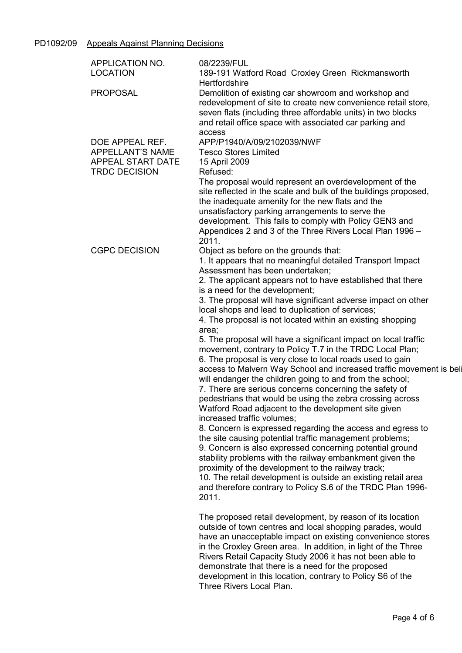# PD1092/09 Appeals Against Planning Decisions

| APPLICATION NO.<br><b>LOCATION</b>                                                             | 08/2239/FUL<br>189-191 Watford Road Croxley Green Rickmansworth                                                                                                                                                                                                                                                                                         |
|------------------------------------------------------------------------------------------------|---------------------------------------------------------------------------------------------------------------------------------------------------------------------------------------------------------------------------------------------------------------------------------------------------------------------------------------------------------|
| <b>PROPOSAL</b>                                                                                | <b>Hertfordshire</b><br>Demolition of existing car showroom and workshop and<br>redevelopment of site to create new convenience retail store,<br>seven flats (including three affordable units) in two blocks<br>and retail office space with associated car parking and                                                                                |
| DOE APPEAL REF.<br><b>APPELLANT'S NAME</b><br><b>APPEAL START DATE</b><br><b>TRDC DECISION</b> | access<br>APP/P1940/A/09/2102039/NWF<br><b>Tesco Stores Limited</b><br>15 April 2009<br>Refused:                                                                                                                                                                                                                                                        |
|                                                                                                | The proposal would represent an overdevelopment of the<br>site reflected in the scale and bulk of the buildings proposed,<br>the inadequate amenity for the new flats and the<br>unsatisfactory parking arrangements to serve the<br>development. This fails to comply with Policy GEN3 and<br>Appendices 2 and 3 of the Three Rivers Local Plan 1996 - |
| <b>CGPC DECISION</b>                                                                           | 2011.<br>Object as before on the grounds that:<br>1. It appears that no meaningful detailed Transport Impact<br>Assessment has been undertaken;                                                                                                                                                                                                         |
|                                                                                                | 2. The applicant appears not to have established that there<br>is a need for the development;                                                                                                                                                                                                                                                           |
|                                                                                                | 3. The proposal will have significant adverse impact on other<br>local shops and lead to duplication of services;                                                                                                                                                                                                                                       |
|                                                                                                | 4. The proposal is not located within an existing shopping<br>area;                                                                                                                                                                                                                                                                                     |
|                                                                                                | 5. The proposal will have a significant impact on local traffic<br>movement, contrary to Policy T.7 in the TRDC Local Plan;                                                                                                                                                                                                                             |
|                                                                                                | 6. The proposal is very close to local roads used to gain<br>access to Malvern Way School and increased traffic movement is beli                                                                                                                                                                                                                        |
|                                                                                                | will endanger the children going to and from the school;<br>7. There are serious concerns concerning the safety of                                                                                                                                                                                                                                      |
|                                                                                                | pedestrians that would be using the zebra crossing across<br>Watford Road adjacent to the development site given                                                                                                                                                                                                                                        |
|                                                                                                | increased traffic volumes;<br>8. Concern is expressed regarding the access and egress to<br>the site causing potential traffic management problems;                                                                                                                                                                                                     |
|                                                                                                | 9. Concern is also expressed concerning potential ground<br>stability problems with the railway embankment given the<br>proximity of the development to the railway track;                                                                                                                                                                              |
|                                                                                                | 10. The retail development is outside an existing retail area<br>and therefore contrary to Policy S.6 of the TRDC Plan 1996-<br>2011.                                                                                                                                                                                                                   |
|                                                                                                | The proposed retail development, by reason of its location<br>outside of town centres and local shopping parades, would<br>have an unacceptable impact on existing convenience stores<br>in the Croxley Green area. In addition, in light of the Three<br>Rivers Retail Capacity Study 2006 it has not been able to                                     |
|                                                                                                | demonstrate that there is a need for the proposed                                                                                                                                                                                                                                                                                                       |

development in this location, contrary to Policy S6 of the

Three Rivers Local Plan.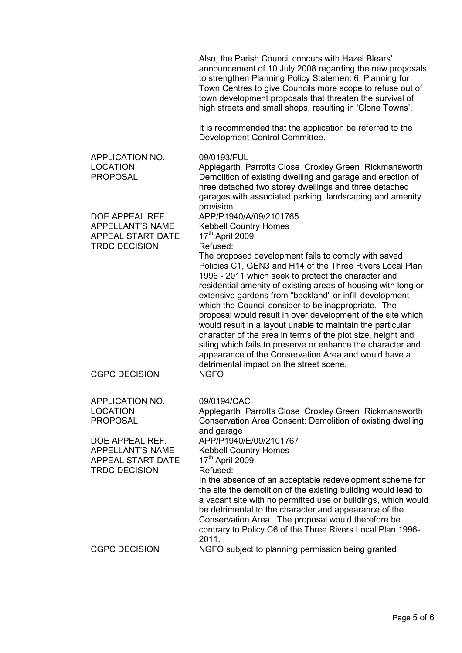|                                                                                                | Also, the Parish Council concurs with Hazel Blears'<br>announcement of 10 July 2008 regarding the new proposals<br>to strengthen Planning Policy Statement 6: Planning for<br>Town Centres to give Councils more scope to refuse out of<br>town development proposals that threaten the survival of<br>high streets and small shops, resulting in 'Clone Towns'.                                                                                                                                                                                                                                                                                                                                                        |
|------------------------------------------------------------------------------------------------|-------------------------------------------------------------------------------------------------------------------------------------------------------------------------------------------------------------------------------------------------------------------------------------------------------------------------------------------------------------------------------------------------------------------------------------------------------------------------------------------------------------------------------------------------------------------------------------------------------------------------------------------------------------------------------------------------------------------------|
|                                                                                                | It is recommended that the application be referred to the<br>Development Control Committee.                                                                                                                                                                                                                                                                                                                                                                                                                                                                                                                                                                                                                             |
| APPLICATION NO.<br><b>LOCATION</b><br><b>PROPOSAL</b>                                          | 09/0193/FUL<br>Applegarth Parrotts Close Croxley Green Rickmansworth<br>Demolition of existing dwelling and garage and erection of<br>hree detached two storey dwellings and three detached<br>garages with associated parking, landscaping and amenity<br>provision                                                                                                                                                                                                                                                                                                                                                                                                                                                    |
| DOE APPEAL REF.<br><b>APPELLANT'S NAME</b><br><b>APPEAL START DATE</b><br><b>TRDC DECISION</b> | APP/P1940/A/09/2101765<br><b>Kebbell Country Homes</b><br>17 <sup>th</sup> April 2009<br>Refused:                                                                                                                                                                                                                                                                                                                                                                                                                                                                                                                                                                                                                       |
|                                                                                                | The proposed development fails to comply with saved<br>Policies C1, GEN3 and H14 of the Three Rivers Local Plan<br>1996 - 2011 which seek to protect the character and<br>residential amenity of existing areas of housing with long or<br>extensive gardens from "backland" or infill development<br>which the Council consider to be inappropriate. The<br>proposal would result in over development of the site which<br>would result in a layout unable to maintain the particular<br>character of the area in terms of the plot size, height and<br>siting which fails to preserve or enhance the character and<br>appearance of the Conservation Area and would have a<br>detrimental impact on the street scene. |
| <b>CGPC DECISION</b>                                                                           | <b>NGFO</b>                                                                                                                                                                                                                                                                                                                                                                                                                                                                                                                                                                                                                                                                                                             |
| APPLICATION NO.<br><b>LOCATION</b><br><b>PROPOSAL</b>                                          | 09/0194/CAC<br>Applegarth Parrotts Close Croxley Green Rickmansworth<br>Conservation Area Consent: Demolition of existing dwelling<br>and garage                                                                                                                                                                                                                                                                                                                                                                                                                                                                                                                                                                        |
| DOE APPEAL REF.<br><b>APPELLANT'S NAME</b><br>APPEAL START DATE<br><b>TRDC DECISION</b>        | APP/P1940/E/09/2101767<br><b>Kebbell Country Homes</b><br>17 <sup>th</sup> April 2009<br>Refused:<br>In the absence of an acceptable redevelopment scheme for                                                                                                                                                                                                                                                                                                                                                                                                                                                                                                                                                           |
|                                                                                                | the site the demolition of the existing building would lead to<br>a vacant site with no permitted use or buildings, which would<br>be detrimental to the character and appearance of the<br>Conservation Area. The proposal would therefore be<br>contrary to Policy C6 of the Three Rivers Local Plan 1996-<br>2011.                                                                                                                                                                                                                                                                                                                                                                                                   |
| <b>CGPC DECISION</b>                                                                           | NGFO subject to planning permission being granted                                                                                                                                                                                                                                                                                                                                                                                                                                                                                                                                                                                                                                                                       |